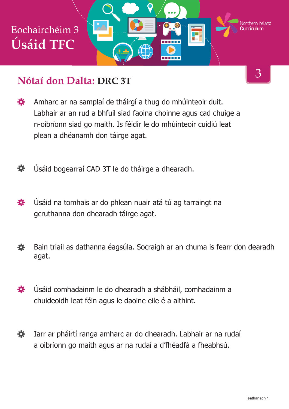

#### **Nótaí don Dalta: DRC 3T**

- 娄 Amharc ar na samplaí de tháirgí a thug do mhúinteoir duit. Labhair ar an rud a bhfuil siad faoina choinne agus cad chuige a n-oibríonn siad go maith. Is féidir le do mhúinteoir cuidiú leat plean a dhéanamh don táirge agat.
- Úsáid bogearraí CAD 3T le do tháirge a dhearadh. 苍
- Úsáid na tomhais ar do phlean nuair atá tú ag tarraingt na 養 gcruthanna don dhearadh táirge agat.
- 養 Bain triail as dathanna éagsúla. Socraigh ar an chuma is fearr don dearadh agat.
- Úsáid comhadainm le do dhearadh a shábháil, comhadainm a 養 chuideoidh leat féin agus le daoine eile é a aithint.
- Iarr ar pháirtí ranga amharc ar do dhearadh. Labhair ar na rudaí 養 a oibríonn go maith agus ar na rudaí a d'fhéadfá a fheabhsú.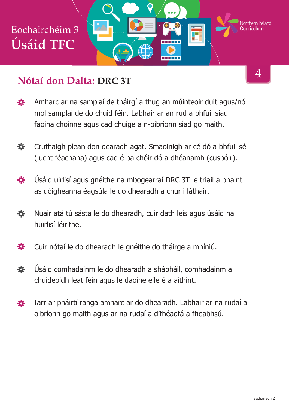

#### **Nótaí don Dalta: DRC 3T**

- Amharc ar na samplaí de tháirgí a thug an múinteoir duit agus/nó 娄 mol samplaí de do chuid féin. Labhair ar an rud a bhfuil siad faoina choinne agus cad chuige a n-oibríonn siad go maith.
- 奁 Cruthaigh plean don dearadh agat. Smaoinigh ar cé dó a bhfuil sé (lucht féachana) agus cad é ba chóir dó a dhéanamh (cuspóir).
- 赛 Úsáid uirlisí agus gnéithe na mbogearraí DRC 3T le triail a bhaint as dóigheanna éagsúla le do dhearadh a chur i láthair.
- Nuair atá tú sásta le do dhearadh, cuir dath leis agus úsáid na 娄 huirlisí léirithe.
- Cuir nótaí le do dhearadh le gnéithe do tháirge a mhíniú. 娄
- 娄 Úsáid comhadainm le do dhearadh a shábháil, comhadainm a chuideoidh leat féin agus le daoine eile é a aithint.
- Iarr ar pháirtí ranga amharc ar do dhearadh. Labhair ar na rudaí a 春 oibríonn go maith agus ar na rudaí a d'fhéadfá a fheabhsú.

4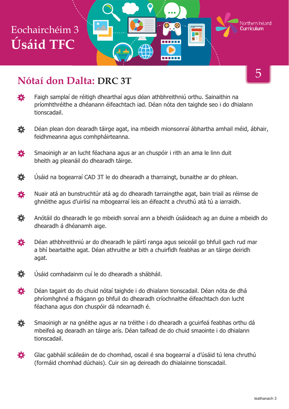# Eochairchéim 3 **Úsáid TFC**



## **Nótaí don Dalta: DRC 3T**

- 娄 Faigh samplaí de réitigh dhearthaí agus déan athbhreithniú orthu. Sainaithin na príomhthréithe a dhéanann éifeachtach iad. Déan nóta den taighde seo i do dhialann tionscadail.
- 娄 Déan plean don dearadh táirge agat, ina mbeidh mionsonraí ábhartha amhail méid, ábhair, feidhmeanna agus comhpháirteanna.
- 養 Smaoinigh ar an lucht féachana agus ar an chuspóir i rith an ama le linn duit bheith ag pleanáil do dhearadh táirge.
- 娄 Úsáid na bogearraí CAD 3T le do dhearadh a tharraingt, bunaithe ar do phlean.
- Nuair atá an bunstruchtúr atá ag do dhearadh tarraingthe agat, bain triail as réimse de 娄 ghnéithe agus d'uirlisí na mbogearraí leis an éifeacht a chruthú atá tú a iarraidh.
- 養 Anótáil do dhearadh le go mbeidh sonraí ann a bheidh úsáideach ag an duine a mbeidh do dhearadh á dhéanamh aige.
- 養 Déan athbhreithniú ar do dhearadh le páirtí ranga agus seiceáil go bhfuil gach rud mar a bhí beartaithe agat. Déan athruithe ar bith a chuirfidh feabhas ar an táirge deiridh agat.
- 春 Úsáid comhadainm cuí le do dhearadh a shábháil.
- 娄 Déan tagairt do do chuid nótaí taighde i do dhialann tionscadail. Déan nóta de dhá phríomhghné a fhágann go bhfuil do dhearadh críochnaithe éifeachtach don lucht féachana agus don chuspóir dá ndearnadh é.
- 養 Smaoinigh ar na gnéithe agus ar na tréithe i do dhearadh a gcuirfeá feabhas orthu dá mbeifeá ag dearadh an táirge arís. Déan taifead de do chuid smaointe i do dhialann tionscadail.
- 養 Glac gabháil scáileáin de do chomhad, oscail é sna bogearraí a d'úsáid tú lena chruthú (formáid chomhad dúchais). Cuir sin ag deireadh do dhialainne tionscadail.

5